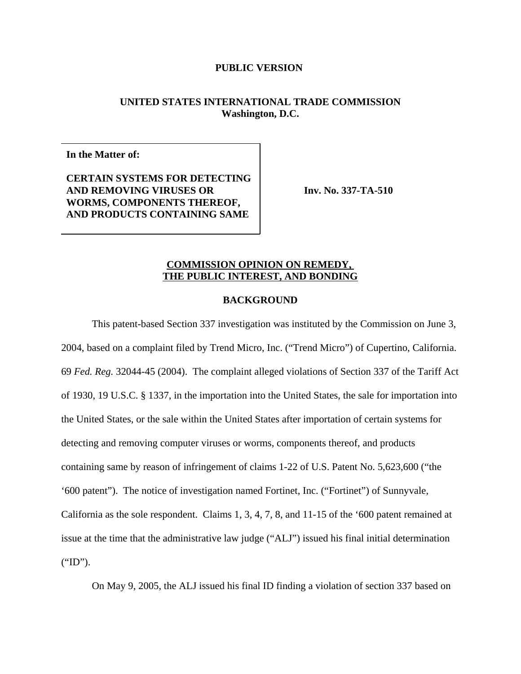# **UNITED STATES INTERNATIONAL TRADE COMMISSION Washington, D.C.**

**In the Matter of:**

**CERTAIN SYSTEMS FOR DETECTING AND REMOVING VIRUSES OR WORMS, COMPONENTS THEREOF, AND PRODUCTS CONTAINING SAME**

**Inv. No. 337-TA-510**

# **COMMISSION OPINION ON REMEDY, THE PUBLIC INTEREST, AND BONDING**

# **BACKGROUND**

This patent-based Section 337 investigation was instituted by the Commission on June 3, 2004, based on a complaint filed by Trend Micro, Inc. ("Trend Micro") of Cupertino, California. 69 *Fed. Reg.* 32044-45 (2004). The complaint alleged violations of Section 337 of the Tariff Act of 1930, 19 U.S.C. § 1337, in the importation into the United States, the sale for importation into the United States, or the sale within the United States after importation of certain systems for detecting and removing computer viruses or worms, components thereof, and products containing same by reason of infringement of claims 1-22 of U.S. Patent No. 5,623,600 ("the '600 patent"). The notice of investigation named Fortinet, Inc. ("Fortinet") of Sunnyvale, California as the sole respondent. Claims 1, 3, 4, 7, 8, and 11-15 of the '600 patent remained at issue at the time that the administrative law judge ("ALJ") issued his final initial determination ("ID").

On May 9, 2005, the ALJ issued his final ID finding a violation of section 337 based on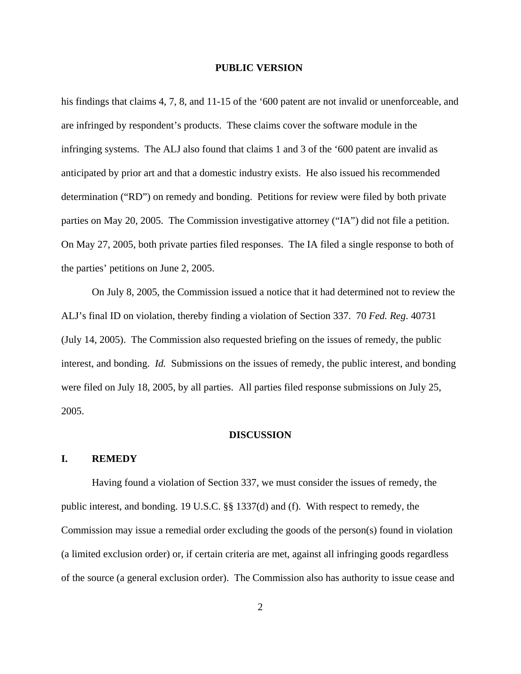his findings that claims 4, 7, 8, and 11-15 of the '600 patent are not invalid or unenforceable, and are infringed by respondent's products. These claims cover the software module in the infringing systems. The ALJ also found that claims 1 and 3 of the '600 patent are invalid as anticipated by prior art and that a domestic industry exists. He also issued his recommended determination ("RD") on remedy and bonding. Petitions for review were filed by both private parties on May 20, 2005. The Commission investigative attorney ("IA") did not file a petition. On May 27, 2005, both private parties filed responses. The IA filed a single response to both of the parties' petitions on June 2, 2005.

On July 8, 2005, the Commission issued a notice that it had determined not to review the ALJ's final ID on violation, thereby finding a violation of Section 337. 70 *Fed. Reg*. 40731 (July 14, 2005). The Commission also requested briefing on the issues of remedy, the public interest, and bonding. *Id.* Submissions on the issues of remedy, the public interest, and bonding were filed on July 18, 2005, by all parties. All parties filed response submissions on July 25, 2005.

## **DISCUSSION**

## **I. REMEDY**

Having found a violation of Section 337, we must consider the issues of remedy, the public interest, and bonding. 19 U.S.C. §§ 1337(d) and (f). With respect to remedy, the Commission may issue a remedial order excluding the goods of the person(s) found in violation (a limited exclusion order) or, if certain criteria are met, against all infringing goods regardless of the source (a general exclusion order). The Commission also has authority to issue cease and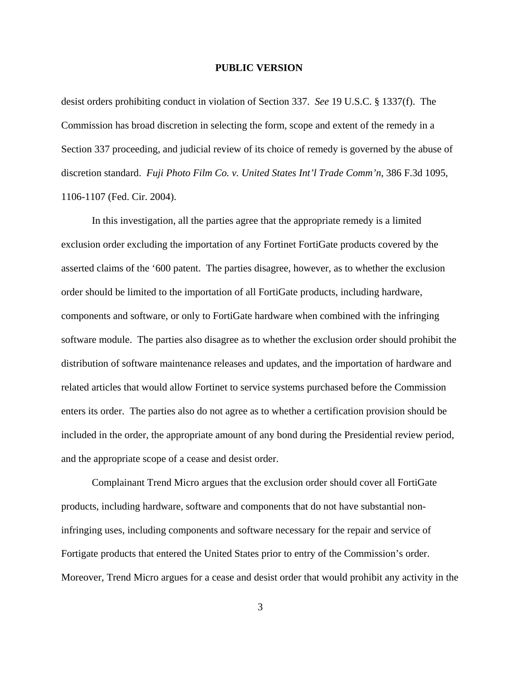desist orders prohibiting conduct in violation of Section 337. *See* 19 U.S.C. § 1337(f). The Commission has broad discretion in selecting the form, scope and extent of the remedy in a Section 337 proceeding, and judicial review of its choice of remedy is governed by the abuse of discretion standard. *Fuji Photo Film Co. v. United States Int'l Trade Comm'n*, 386 F.3d 1095, 1106-1107 (Fed. Cir. 2004).

In this investigation, all the parties agree that the appropriate remedy is a limited exclusion order excluding the importation of any Fortinet FortiGate products covered by the asserted claims of the '600 patent. The parties disagree, however, as to whether the exclusion order should be limited to the importation of all FortiGate products, including hardware, components and software, or only to FortiGate hardware when combined with the infringing software module. The parties also disagree as to whether the exclusion order should prohibit the distribution of software maintenance releases and updates, and the importation of hardware and related articles that would allow Fortinet to service systems purchased before the Commission enters its order. The parties also do not agree as to whether a certification provision should be included in the order, the appropriate amount of any bond during the Presidential review period, and the appropriate scope of a cease and desist order.

Complainant Trend Micro argues that the exclusion order should cover all FortiGate products, including hardware, software and components that do not have substantial noninfringing uses, including components and software necessary for the repair and service of Fortigate products that entered the United States prior to entry of the Commission's order. Moreover, Trend Micro argues for a cease and desist order that would prohibit any activity in the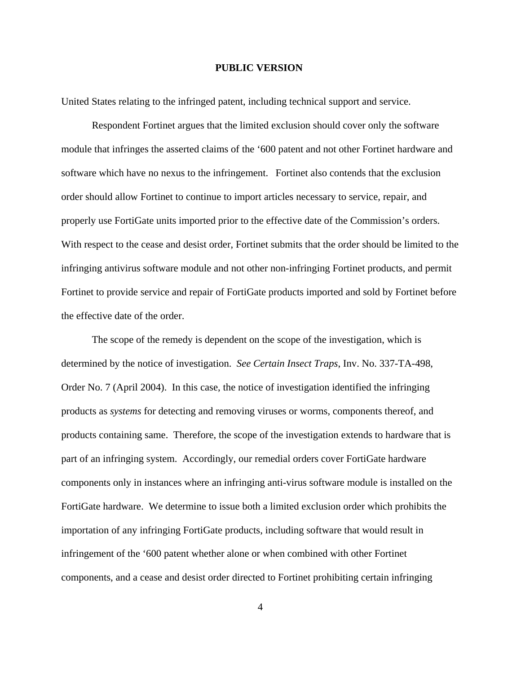United States relating to the infringed patent, including technical support and service.

Respondent Fortinet argues that the limited exclusion should cover only the software module that infringes the asserted claims of the '600 patent and not other Fortinet hardware and software which have no nexus to the infringement. Fortinet also contends that the exclusion order should allow Fortinet to continue to import articles necessary to service, repair, and properly use FortiGate units imported prior to the effective date of the Commission's orders. With respect to the cease and desist order, Fortinet submits that the order should be limited to the infringing antivirus software module and not other non-infringing Fortinet products, and permit Fortinet to provide service and repair of FortiGate products imported and sold by Fortinet before the effective date of the order.

The scope of the remedy is dependent on the scope of the investigation, which is determined by the notice of investigation. *See Certain Insect Traps*, Inv. No. 337-TA-498, Order No. 7 (April 2004). In this case, the notice of investigation identified the infringing products as *systems* for detecting and removing viruses or worms, components thereof, and products containing same. Therefore, the scope of the investigation extends to hardware that is part of an infringing system. Accordingly, our remedial orders cover FortiGate hardware components only in instances where an infringing anti-virus software module is installed on the FortiGate hardware. We determine to issue both a limited exclusion order which prohibits the importation of any infringing FortiGate products, including software that would result in infringement of the '600 patent whether alone or when combined with other Fortinet components, and a cease and desist order directed to Fortinet prohibiting certain infringing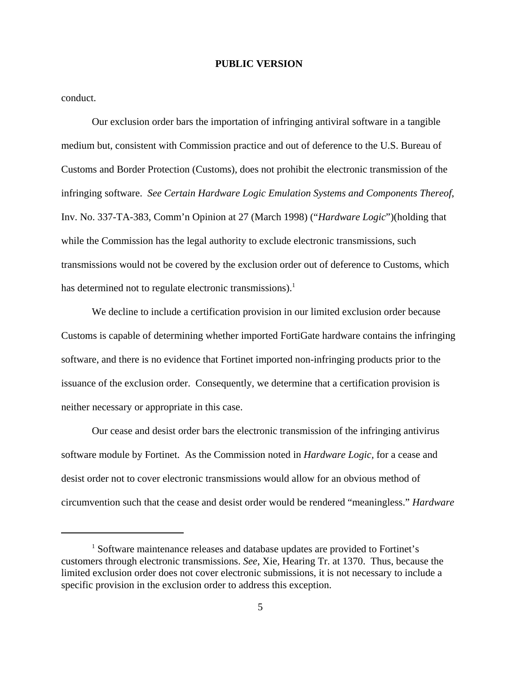conduct.

Our exclusion order bars the importation of infringing antiviral software in a tangible medium but, consistent with Commission practice and out of deference to the U.S. Bureau of Customs and Border Protection (Customs), does not prohibit the electronic transmission of the infringing software. *See Certain Hardware Logic Emulation Systems and Components Thereof*, Inv. No. 337-TA-383, Comm'n Opinion at 27 (March 1998) ("*Hardware Logic*")(holding that while the Commission has the legal authority to exclude electronic transmissions, such transmissions would not be covered by the exclusion order out of deference to Customs, which has determined not to regulate electronic transmissions).<sup>1</sup>

We decline to include a certification provision in our limited exclusion order because Customs is capable of determining whether imported FortiGate hardware contains the infringing software, and there is no evidence that Fortinet imported non-infringing products prior to the issuance of the exclusion order. Consequently, we determine that a certification provision is neither necessary or appropriate in this case.

Our cease and desist order bars the electronic transmission of the infringing antivirus software module by Fortinet. As the Commission noted in *Hardware Logic,* for a cease and desist order not to cover electronic transmissions would allow for an obvious method of circumvention such that the cease and desist order would be rendered "meaningless." *Hardware*

<sup>&</sup>lt;sup>1</sup> Software maintenance releases and database updates are provided to Fortinet's customers through electronic transmissions. *See*, Xie, Hearing Tr. at 1370. Thus, because the limited exclusion order does not cover electronic submissions, it is not necessary to include a specific provision in the exclusion order to address this exception.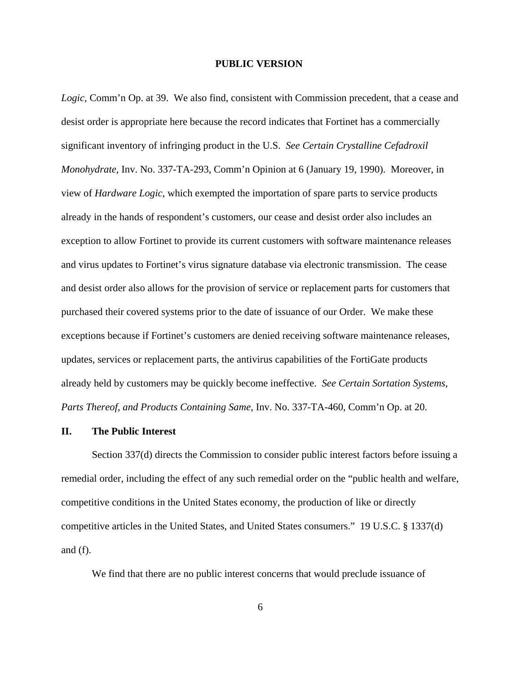*Logic*, Comm'n Op. at 39. We also find, consistent with Commission precedent, that a cease and desist order is appropriate here because the record indicates that Fortinet has a commercially significant inventory of infringing product in the U.S. *See Certain Crystalline Cefadroxil Monohydrate*, Inv. No. 337-TA-293, Comm'n Opinion at 6 (January 19, 1990). Moreover, in view of *Hardware Logic*, which exempted the importation of spare parts to service products already in the hands of respondent's customers, our cease and desist order also includes an exception to allow Fortinet to provide its current customers with software maintenance releases and virus updates to Fortinet's virus signature database via electronic transmission. The cease and desist order also allows for the provision of service or replacement parts for customers that purchased their covered systems prior to the date of issuance of our Order. We make these exceptions because if Fortinet's customers are denied receiving software maintenance releases, updates, services or replacement parts, the antivirus capabilities of the FortiGate products already held by customers may be quickly become ineffective. *See Certain Sortation Systems, Parts Thereof, and Products Containing Same*, Inv. No. 337-TA-460, Comm'n Op. at 20.

#### **II. The Public Interest**

Section 337(d) directs the Commission to consider public interest factors before issuing a remedial order, including the effect of any such remedial order on the "public health and welfare, competitive conditions in the United States economy, the production of like or directly competitive articles in the United States, and United States consumers." 19 U.S.C. § 1337(d) and (f).

We find that there are no public interest concerns that would preclude issuance of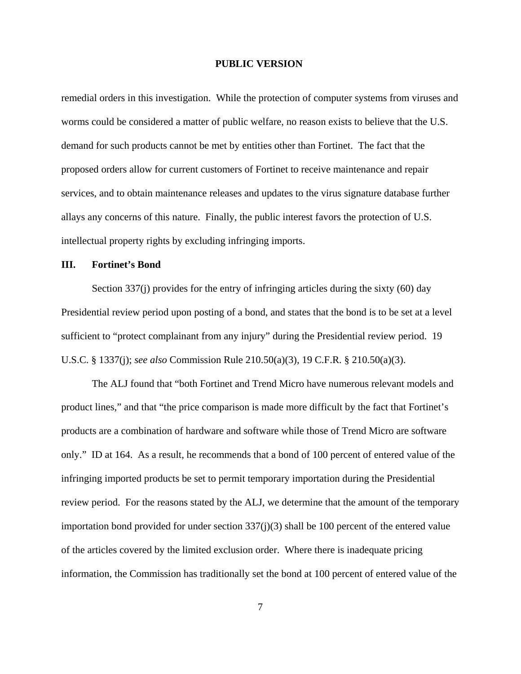remedial orders in this investigation. While the protection of computer systems from viruses and worms could be considered a matter of public welfare, no reason exists to believe that the U.S. demand for such products cannot be met by entities other than Fortinet. The fact that the proposed orders allow for current customers of Fortinet to receive maintenance and repair services, and to obtain maintenance releases and updates to the virus signature database further allays any concerns of this nature. Finally, the public interest favors the protection of U.S. intellectual property rights by excluding infringing imports.

## **III. Fortinet's Bond**

Section 337(j) provides for the entry of infringing articles during the sixty (60) day Presidential review period upon posting of a bond, and states that the bond is to be set at a level sufficient to "protect complainant from any injury" during the Presidential review period. 19 U.S.C. § 1337(j); *see also* Commission Rule 210.50(a)(3), 19 C.F.R. § 210.50(a)(3).

The ALJ found that "both Fortinet and Trend Micro have numerous relevant models and product lines," and that "the price comparison is made more difficult by the fact that Fortinet's products are a combination of hardware and software while those of Trend Micro are software only." ID at 164. As a result, he recommends that a bond of 100 percent of entered value of the infringing imported products be set to permit temporary importation during the Presidential review period. For the reasons stated by the ALJ, we determine that the amount of the temporary importation bond provided for under section 337(j)(3) shall be 100 percent of the entered value of the articles covered by the limited exclusion order. Where there is inadequate pricing information, the Commission has traditionally set the bond at 100 percent of entered value of the